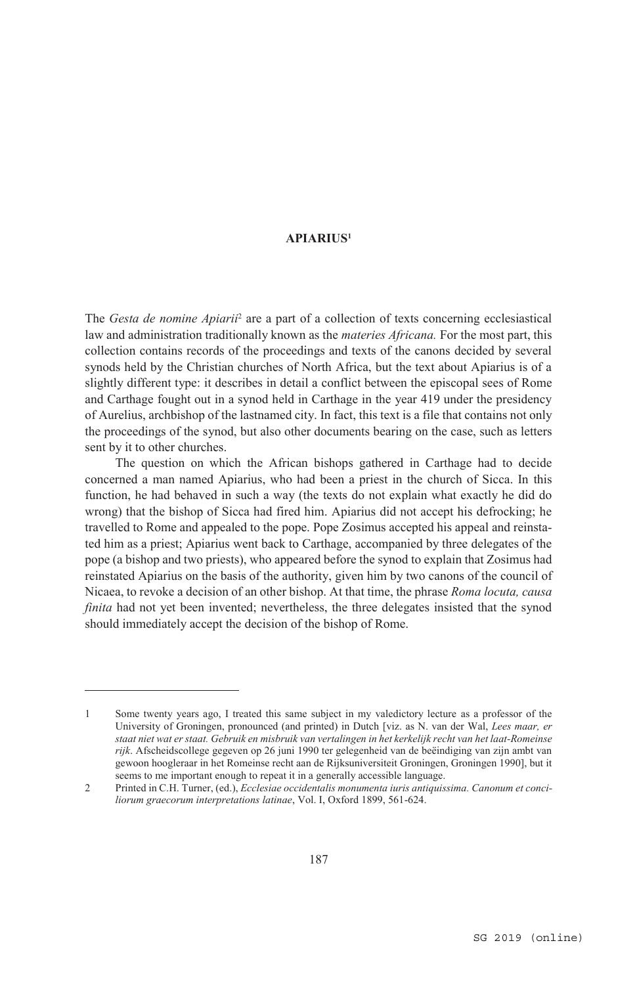The *Gesta de nomine Apiarii*<sup>2</sup> are a part of a collection of texts concerning ecclesiastical law and administration traditionally known as the *materies Africana.* For the most part, this collection contains records of the proceedings and texts of the canons decided by several synods held by the Christian churches of North Africa, but the text about Apiarius is of a slightly different type: it describes in detail a conflict between the episcopal sees of Rome and Carthage fought out in a synod held in Carthage in the year 419 under the presidency of Aurelius, archbishop of the lastnamed city. In fact, this text is a file that contains not only the proceedings of the synod, but also other documents bearing on the case, such as letters sent by it to other churches.

The question on which the African bishops gathered in Carthage had to decide concerned a man named Apiarius, who had been a priest in the church of Sicca. In this function, he had behaved in such a way (the texts do not explain what exactly he did do wrong) that the bishop of Sicca had fired him. Apiarius did not accept his defrocking; he travelled to Rome and appealed to the pope. Pope Zosimus accepted his appeal and reinstated him as a priest; Apiarius went back to Carthage, accompanied by three delegates of the pope (a bishop and two priests), who appeared before the synod to explain that Zosimus had reinstated Apiarius on the basis of the authority, given him by two canons of the council of Nicaea, to revoke a decision of an other bishop. At that time, the phrase *Roma locuta, causa finita* had not yet been invented; nevertheless, the three delegates insisted that the synod should immediately accept the decision of the bishop of Rome.

<sup>1</sup> Some twenty years ago, I treated this same subject in my valedictory lecture as a professor of the University of Groningen, pronounced (and printed) in Dutch [viz. as N. van der Wal, *Lees maar, er staat niet wat er staat. Gebruik en misbruik van vertalingen in het kerkelijk recht van het laat-Romeinse rijk*. Afscheidscollege gegeven op 26 juni 1990 ter gelegenheid van de beëindiging van zijn ambt van gewoon hoogleraar in het Romeinse recht aan de Rijksuniversiteit Groningen, Groningen 1990], but it seems to me important enough to repeat it in a generally accessible language.

<sup>2</sup> Printed in C.H. Turner, (ed.), *Ecclesiae occidentalis monumenta iuris antiquissima. Canonum et conciliorum graecorum interpretations latinae*, Vol. I, Oxford 1899, 561-624.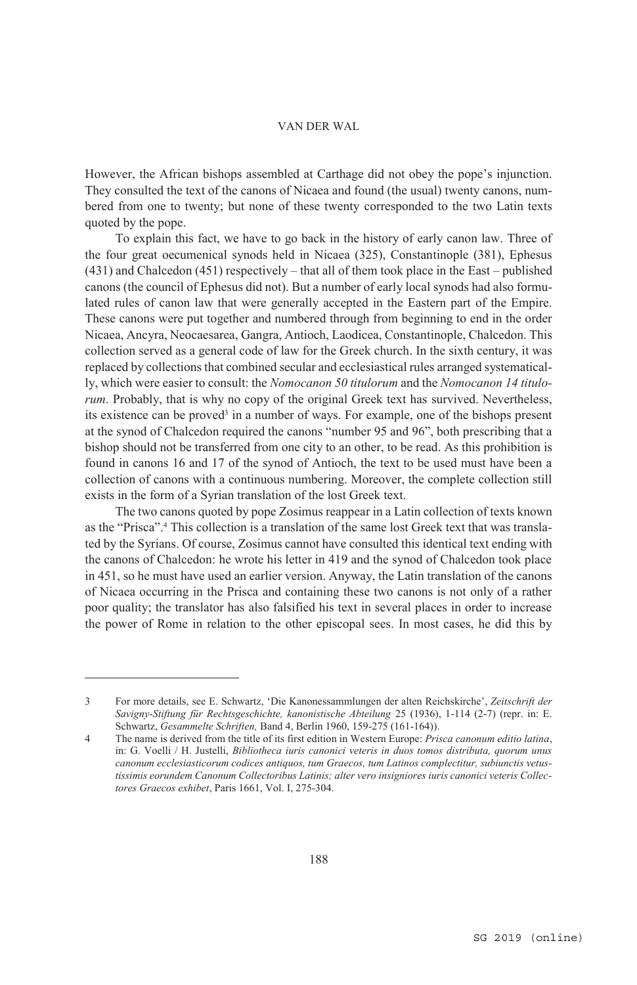However, the African bishops assembled at Carthage did not obey the pope's injunction. They consulted the text of the canons of Nicaea and found (the usual) twenty canons, numbered from one to twenty; but none of these twenty corresponded to the two Latin texts quoted by the pope.

To explain this fact, we have to go back in the history of early canon law. Three of the four great oecumenical synods held in Nicaea (325), Constantinople (381), Ephesus (431) and Chalcedon (451) respectively – that all of them took place in the East – published canons (the council of Ephesus did not). But a number of early local synods had also formulated rules of canon law that were generally accepted in the Eastern part of the Empire. These canons were put together and numbered through from beginning to end in the order Nicaea, Ancyra, Neocaesarea, Gangra, Antioch, Laodicea, Constantinople, Chalcedon. This collection served as a general code of law for the Greek church. In the sixth century, it was replaced by collections that combined secular and ecclesiastical rules arranged systematically, which were easier to consult: the *Nomocanon 50 titulorum* and the *Nomocanon 14 titulorum*. Probably, that is why no copy of the original Greek text has survived. Nevertheless, its existence can be proved<sup>3</sup> in a number of ways. For example, one of the bishops present at the synod of Chalcedon required the canons "number 95 and 96", both prescribing that a bishop should not be transferred from one city to an other, to be read. As this prohibition is found in canons 16 and 17 of the synod of Antioch, the text to be used must have been a collection of canons with a continuous numbering. Moreover, the complete collection still exists in the form of a Syrian translation of the lost Greek text.

The two canons quoted by pope Zosimus reappear in a Latin collection of texts known as the "Prisca".<sup>4</sup> This collection is a translation of the same lost Greek text that was translated by the Syrians. Of course, Zosimus cannot have consulted this identical text ending with the canons of Chalcedon: he wrote his letter in 419 and the synod of Chalcedon took place in 451, so he must have used an earlier version. Anyway, the Latin translation of the canons of Nicaea occurring in the Prisca and containing these two canons is not only of a rather poor quality; the translator has also falsified his text in several places in order to increase the power of Rome in relation to the other episcopal sees. In most cases, he did this by

<sup>3</sup> For more details, see E. Schwartz, 'Die Kanonessammlungen der alten Reichskirche', *Zeitschrift der Savigny-Stiftung für Rechtsgeschichte, kanonistische Abteilung* 25 (1936), 1-114 (2-7) (repr. in: E. Schwartz, *Gesammelte Schriften,* Band 4, Berlin 1960, 159-275 (161-164)).

<sup>4</sup> The name is derived from the title of its first edition in Western Europe: *Prisca canonum editio latina*, in: G. Voelli / H. Justelli, *Bibliotheca iuris canonici veteris in duos tomos distributa, quorum unus canonum ecclesiasticorum codices antiquos, tum Graecos, tum Latinos complectitur, subiunctis vetustissimis eorundem Canonum Collectoribus Latinis; alter vero insigniores iuris canonici veteris Collectores Graecos exhibet*, Paris 1661, Vol. I, 275-304.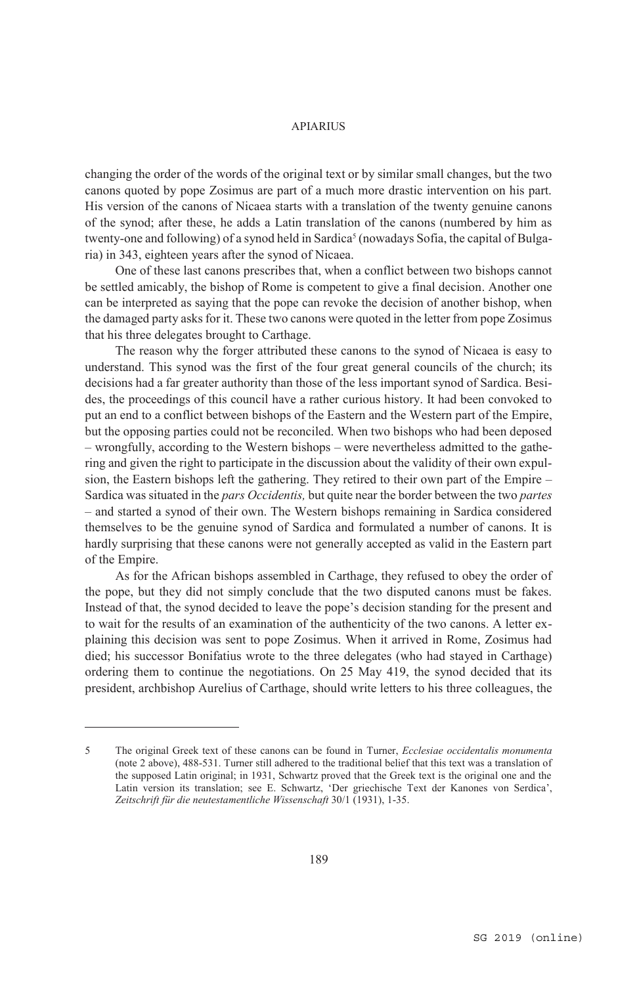changing the order of the words of the original text or by similar small changes, but the two canons quoted by pope Zosimus are part of a much more drastic intervention on his part. His version of the canons of Nicaea starts with a translation of the twenty genuine canons of the synod; after these, he adds a Latin translation of the canons (numbered by him as twenty-one and following) of a synod held in Sardica<sup>5</sup> (nowadays Sofia, the capital of Bulgaria) in 343, eighteen years after the synod of Nicaea.

One of these last canons prescribes that, when a conflict between two bishops cannot be settled amicably, the bishop of Rome is competent to give a final decision. Another one can be interpreted as saying that the pope can revoke the decision of another bishop, when the damaged party asks for it. These two canons were quoted in the letter from pope Zosimus that his three delegates brought to Carthage.

The reason why the forger attributed these canons to the synod of Nicaea is easy to understand. This synod was the first of the four great general councils of the church; its decisions had a far greater authority than those of the less important synod of Sardica. Besides, the proceedings of this council have a rather curious history. It had been convoked to put an end to a conflict between bishops of the Eastern and the Western part of the Empire, but the opposing parties could not be reconciled. When two bishops who had been deposed – wrongfully, according to the Western bishops – were nevertheless admitted to the gathering and given the right to participate in the discussion about the validity of their own expulsion, the Eastern bishops left the gathering. They retired to their own part of the Empire – Sardica was situated in the *pars Occidentis,* but quite near the border between the two *partes* – and started a synod of their own. The Western bishops remaining in Sardica considered themselves to be the genuine synod of Sardica and formulated a number of canons. It is hardly surprising that these canons were not generally accepted as valid in the Eastern part of the Empire.

As for the African bishops assembled in Carthage, they refused to obey the order of the pope, but they did not simply conclude that the two disputed canons must be fakes. Instead of that, the synod decided to leave the pope's decision standing for the present and to wait for the results of an examination of the authenticity of the two canons. A letter explaining this decision was sent to pope Zosimus. When it arrived in Rome, Zosimus had died; his successor Bonifatius wrote to the three delegates (who had stayed in Carthage) ordering them to continue the negotiations. On 25 May 419, the synod decided that its president, archbishop Aurelius of Carthage, should write letters to his three colleagues, the

<sup>5</sup> The original Greek text of these canons can be found in Turner, *Ecclesiae occidentalis monumenta* (note 2 above), 488-531. Turner still adhered to the traditional belief that this text was a translation of the supposed Latin original; in 1931, Schwartz proved that the Greek text is the original one and the Latin version its translation; see E. Schwartz, 'Der griechische Text der Kanones von Serdica', *Zeitschrift für die neutestamentliche Wissenschaft* 30/1 (1931), 1-35.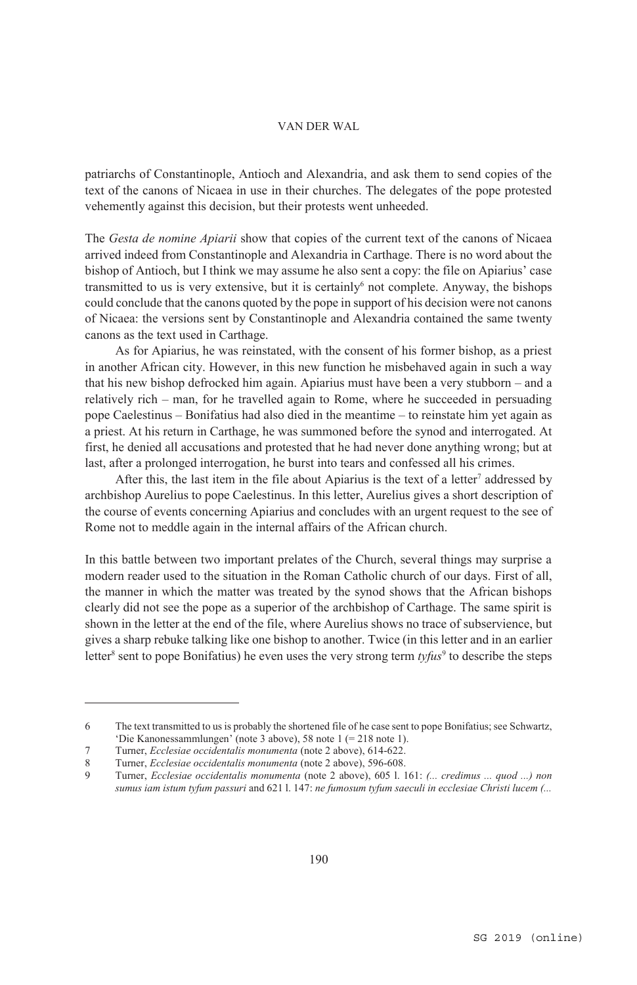patriarchs of Constantinople, Antioch and Alexandria, and ask them to send copies of the text of the canons of Nicaea in use in their churches. The delegates of the pope protested vehemently against this decision, but their protests went unheeded.

The *Gesta de nomine Apiarii* show that copies of the current text of the canons of Nicaea arrived indeed from Constantinople and Alexandria in Carthage. There is no word about the bishop of Antioch, but I think we may assume he also sent a copy: the file on Apiarius' case transmitted to us is very extensive, but it is certainly<sup>6</sup> not complete. Anyway, the bishops could conclude that the canons quoted by the pope in support of his decision were not canons of Nicaea: the versions sent by Constantinople and Alexandria contained the same twenty canons as the text used in Carthage.

As for Apiarius, he was reinstated, with the consent of his former bishop, as a priest in another African city. However, in this new function he misbehaved again in such a way that his new bishop defrocked him again. Apiarius must have been a very stubborn – and a relatively rich – man, for he travelled again to Rome, where he succeeded in persuading pope Caelestinus – Bonifatius had also died in the meantime – to reinstate him yet again as a priest. At his return in Carthage, he was summoned before the synod and interrogated. At first, he denied all accusations and protested that he had never done anything wrong; but at last, after a prolonged interrogation, he burst into tears and confessed all his crimes.

After this, the last item in the file about Apiarius is the text of a letter<sup>7</sup> addressed by archbishop Aurelius to pope Caelestinus. In this letter, Aurelius gives a short description of the course of events concerning Apiarius and concludes with an urgent request to the see of Rome not to meddle again in the internal affairs of the African church.

In this battle between two important prelates of the Church, several things may surprise a modern reader used to the situation in the Roman Catholic church of our days. First of all, the manner in which the matter was treated by the synod shows that the African bishops clearly did not see the pope as a superior of the archbishop of Carthage. The same spirit is shown in the letter at the end of the file, where Aurelius shows no trace of subservience, but gives a sharp rebuke talking like one bishop to another. Twice (in this letter and in an earlier letter<sup>8</sup> sent to pope Bonifatius) he even uses the very strong term *tyfus*<sup>9</sup> to describe the steps

<sup>6</sup> The text transmitted to us is probably the shortened file of he case sent to pope Bonifatius; see Schwartz, 'Die Kanonessammlungen' (note 3 above), 58 note 1 (= 218 note 1).

<sup>7</sup> Turner, *Ecclesiae occidentalis monumenta* (note 2 above), 614-622.

<sup>8</sup> Turner, *Ecclesiae occidentalis monumenta* (note 2 above), 596-608.

<sup>9</sup> Turner, *Ecclesiae occidentalis monumenta* (note 2 above), 605 l. 161: *(... credimus ... quod ...) non sumus iam istum tyfum passuri* and 621 l. 147: *ne fumosum tyfum saeculi in ecclesiae Christi lucem (...*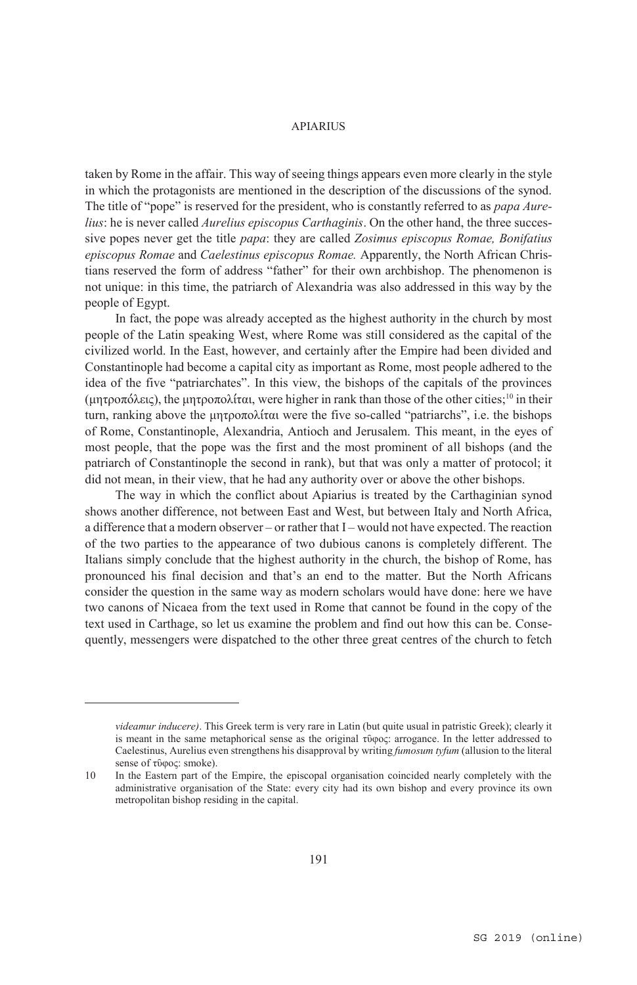taken by Rome in the affair. This way of seeing things appears even more clearly in the style in which the protagonists are mentioned in the description of the discussions of the synod. The title of "pope" is reserved for the president, who is constantly referred to as *papa Aurelius*: he is never called *Aurelius episcopus Carthaginis*. On the other hand, the three successive popes never get the title *papa*: they are called *Zosimus episcopus Romae, Bonifatius episcopus Romae* and *Caelestinus episcopus Romae.* Apparently, the North African Christians reserved the form of address "father" for their own archbishop. The phenomenon is not unique: in this time, the patriarch of Alexandria was also addressed in this way by the people of Egypt.

In fact, the pope was already accepted as the highest authority in the church by most people of the Latin speaking West, where Rome was still considered as the capital of the civilized world. In the East, however, and certainly after the Empire had been divided and Constantinople had become a capital city as important as Rome, most people adhered to the idea of the five "patriarchates". In this view, the bishops of the capitals of the provinces (μητροπόλεις), the μητροπολίται, were higher in rank than those of the other cities;<sup>10</sup> in their turn, ranking above the μητροπολίται were the five so-called "patriarchs", i.e. the bishops of Rome, Constantinople, Alexandria, Antioch and Jerusalem. This meant, in the eyes of most people, that the pope was the first and the most prominent of all bishops (and the patriarch of Constantinople the second in rank), but that was only a matter of protocol; it did not mean, in their view, that he had any authority over or above the other bishops.

The way in which the conflict about Apiarius is treated by the Carthaginian synod shows another difference, not between East and West, but between Italy and North Africa, a difference that a modern observer – or rather that I – would not have expected. The reaction of the two parties to the appearance of two dubious canons is completely different. The Italians simply conclude that the highest authority in the church, the bishop of Rome, has pronounced his final decision and that's an end to the matter. But the North Africans consider the question in the same way as modern scholars would have done: here we have two canons of Nicaea from the text used in Rome that cannot be found in the copy of the text used in Carthage, so let us examine the problem and find out how this can be. Consequently, messengers were dispatched to the other three great centres of the church to fetch

*videamur inducere)*. This Greek term is very rare in Latin (but quite usual in patristic Greek); clearly it is meant in the same metaphorical sense as the original τῦφος: arrogance. In the letter addressed to Caelestinus, Aurelius even strengthens his disapproval by writing *fumosum tyfum* (allusion to the literal sense of τῦφος: smoke).

<sup>10</sup> In the Eastern part of the Empire, the episcopal organisation coincided nearly completely with the administrative organisation of the State: every city had its own bishop and every province its own metropolitan bishop residing in the capital.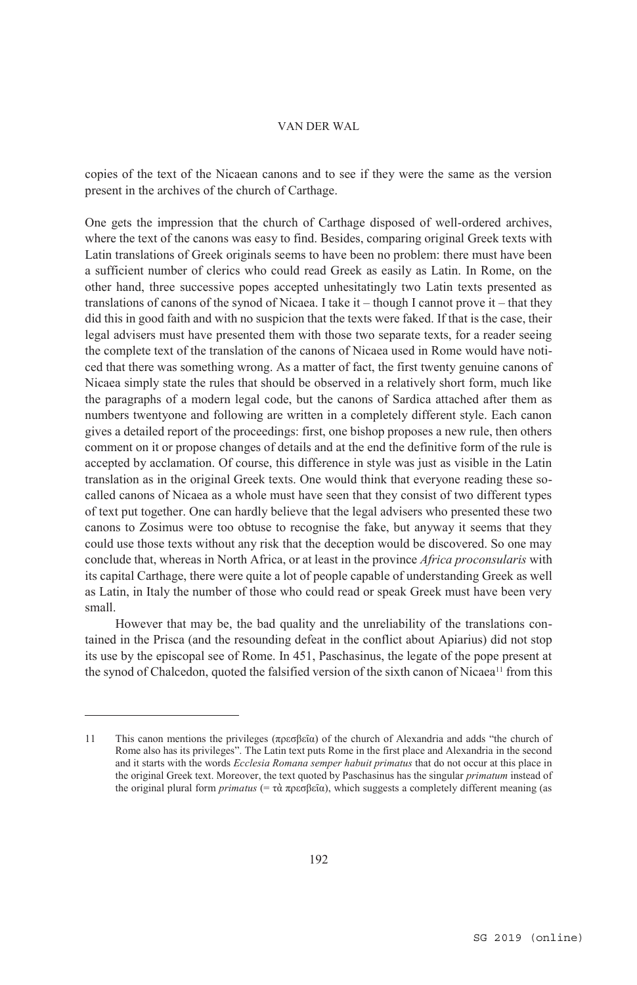copies of the text of the Nicaean canons and to see if they were the same as the version present in the archives of the church of Carthage.

One gets the impression that the church of Carthage disposed of well-ordered archives, where the text of the canons was easy to find. Besides, comparing original Greek texts with Latin translations of Greek originals seems to have been no problem: there must have been a sufficient number of clerics who could read Greek as easily as Latin. In Rome, on the other hand, three successive popes accepted unhesitatingly two Latin texts presented as translations of canons of the synod of Nicaea. I take it – though I cannot prove it – that they did this in good faith and with no suspicion that the texts were faked. If that is the case, their legal advisers must have presented them with those two separate texts, for a reader seeing the complete text of the translation of the canons of Nicaea used in Rome would have noticed that there was something wrong. As a matter of fact, the first twenty genuine canons of Nicaea simply state the rules that should be observed in a relatively short form, much like the paragraphs of a modern legal code, but the canons of Sardica attached after them as numbers twentyone and following are written in a completely different style. Each canon gives a detailed report of the proceedings: first, one bishop proposes a new rule, then others comment on it or propose changes of details and at the end the definitive form of the rule is accepted by acclamation. Of course, this difference in style was just as visible in the Latin translation as in the original Greek texts. One would think that everyone reading these socalled canons of Nicaea as a whole must have seen that they consist of two different types of text put together. One can hardly believe that the legal advisers who presented these two canons to Zosimus were too obtuse to recognise the fake, but anyway it seems that they could use those texts without any risk that the deception would be discovered. So one may conclude that, whereas in North Africa, or at least in the province *Africa proconsularis* with its capital Carthage, there were quite a lot of people capable of understanding Greek as well as Latin, in Italy the number of those who could read or speak Greek must have been very small.

However that may be, the bad quality and the unreliability of the translations contained in the Prisca (and the resounding defeat in the conflict about Apiarius) did not stop its use by the episcopal see of Rome. In 451, Paschasinus, the legate of the pope present at the synod of Chalcedon, quoted the falsified version of the sixth canon of Nicaea<sup>11</sup> from this

<sup>11</sup> This canon mentions the privileges (πρεσβεῖα) of the church of Alexandria and adds "the church of Rome also has its privileges". The Latin text puts Rome in the first place and Alexandria in the second and it starts with the words *Ecclesia Romana semper habuit primatus* that do not occur at this place in the original Greek text. Moreover, the text quoted by Paschasinus has the singular *primatum* instead of the original plural form *primatus* (= τὰ πρεσβεῖα), which suggests a completely different meaning (as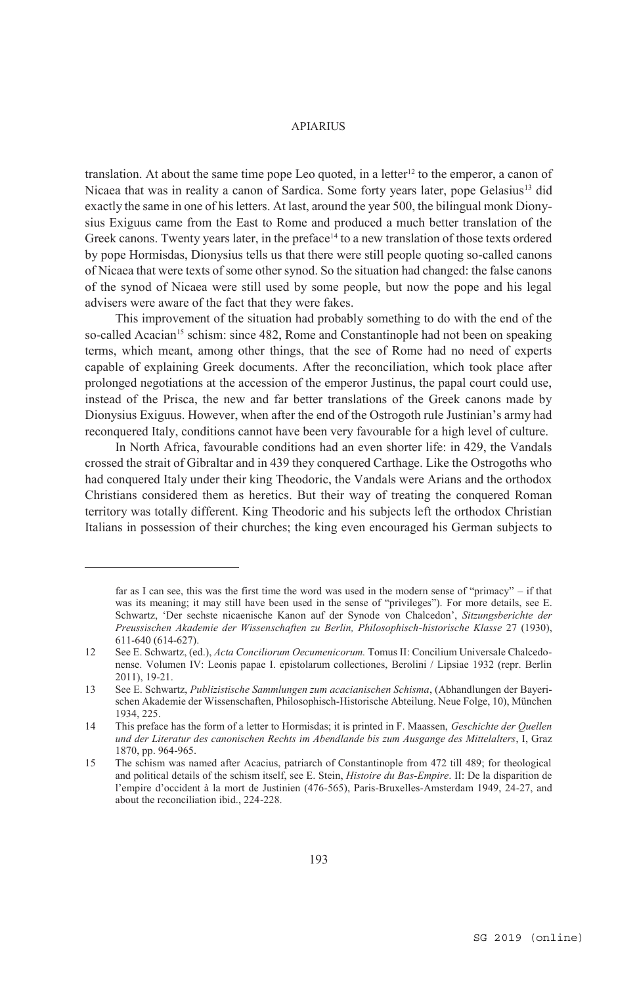translation. At about the same time pope Leo quoted, in a letter<sup>12</sup> to the emperor, a canon of Nicaea that was in reality a canon of Sardica. Some forty years later, pope Gelasius<sup>13</sup> did exactly the same in one of his letters. At last, around the year 500, the bilingual monk Dionysius Exiguus came from the East to Rome and produced a much better translation of the Greek canons. Twenty years later, in the preface<sup>14</sup> to a new translation of those texts ordered by pope Hormisdas, Dionysius tells us that there were still people quoting so-called canons of Nicaea that were texts of some other synod. So the situation had changed: the false canons of the synod of Nicaea were still used by some people, but now the pope and his legal advisers were aware of the fact that they were fakes.

This improvement of the situation had probably something to do with the end of the so-called Acacian<sup>15</sup> schism: since 482, Rome and Constantinople had not been on speaking terms, which meant, among other things, that the see of Rome had no need of experts capable of explaining Greek documents. After the reconciliation, which took place after prolonged negotiations at the accession of the emperor Justinus, the papal court could use, instead of the Prisca, the new and far better translations of the Greek canons made by Dionysius Exiguus. However, when after the end of the Ostrogoth rule Justinian's army had reconquered Italy, conditions cannot have been very favourable for a high level of culture.

In North Africa, favourable conditions had an even shorter life: in 429, the Vandals crossed the strait of Gibraltar and in 439 they conquered Carthage. Like the Ostrogoths who had conquered Italy under their king Theodoric, the Vandals were Arians and the orthodox Christians considered them as heretics. But their way of treating the conquered Roman territory was totally different. King Theodoric and his subjects left the orthodox Christian Italians in possession of their churches; the king even encouraged his German subjects to

far as I can see, this was the first time the word was used in the modern sense of "primacy" – if that was its meaning; it may still have been used in the sense of "privileges"). For more details, see E. Schwartz, 'Der sechste nicaenische Kanon auf der Synode von Chalcedon', *Sitzungsberichte der Preussischen Akademie der Wissenschaften zu Berlin, Philosophisch-historische Klasse* 27 (1930), 611-640 (614-627).

<sup>12</sup> See E. Schwartz, (ed.), *Acta Conciliorum Oecumenicorum.* Tomus II: Concilium Universale Chalcedonense. Volumen IV: Leonis papae I. epistolarum collectiones, Berolini / Lipsiae 1932 (repr. Berlin 2011), 19-21.

<sup>13</sup> See E. Schwartz, *Publizistische Sammlungen zum acacianischen Schisma*, (Abhandlungen der Bayerischen Akademie der Wissenschaften, Philosophisch-Historische Abteilung. Neue Folge, 10), München 1934, 225.

<sup>14</sup> This preface has the form of a letter to Hormisdas; it is printed in F. Maassen, *Geschichte der Quellen und der Literatur des canonischen Rechts im Abendlande bis zum Ausgange des Mittelalters*, I, Graz 1870, pp. 964-965.

<sup>15</sup> The schism was named after Acacius, patriarch of Constantinople from 472 till 489; for theological and political details of the schism itself, see E. Stein, *Histoire du Bas-Empire*. II: De la disparition de l'empire d'occident à la mort de Justinien (476-565), Paris-Bruxelles-Amsterdam 1949, 24-27, and about the reconciliation ibid., 224-228.